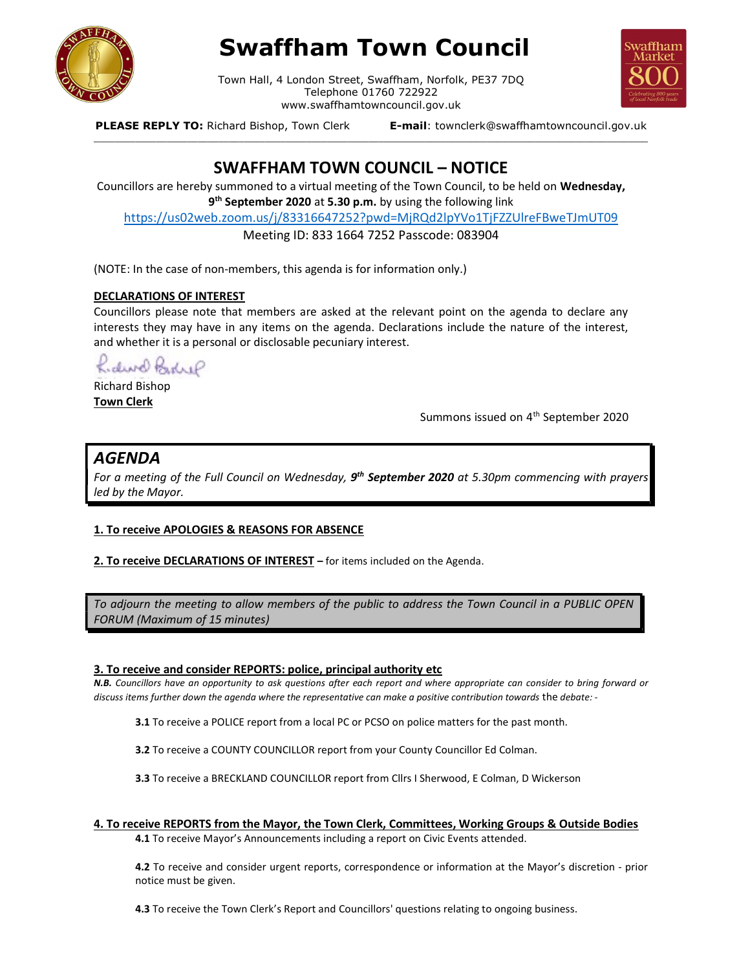

# Swaffham Town Council

Town Hall, 4 London Street, Swaffham, Norfolk, PE37 7DQ Telephone 01760 722922 www.swaffhamtowncouncil.gov.uk<br>p, Town Clerk **E-mail**: townclerk@swaffhamtowncouncil.gov.uk

\_\_\_\_\_\_\_\_\_\_\_\_\_\_\_\_\_\_\_\_\_\_\_\_\_\_\_\_\_\_\_\_\_\_\_\_\_\_\_\_\_\_\_\_\_\_\_\_\_\_\_\_\_\_\_\_\_\_\_\_\_\_\_\_\_\_\_\_\_\_\_\_\_\_\_\_\_\_\_\_\_\_\_\_\_\_\_\_\_\_\_\_\_\_\_\_\_\_\_\_\_\_\_\_\_\_\_



PLEASE REPLY TO: Richard Bishop, Town Clerk

## SWAFFHAM TOWN COUNCIL – NOTICE

Councillors are hereby summoned to a virtual meeting of the Town Council, to be held on Wednesday, 9<sup>th</sup> September 2020 at 5.30 p.m. by using the following link

https://us02web.zoom.us/j/83316647252?pwd=MjRQd2lpYVo1TjFZZUlreFBweTJmUT09

Meeting ID: 833 1664 7252 Passcode: 083904

(NOTE: In the case of non-members, this agenda is for information only.)

#### DECLARATIONS OF INTEREST

Councillors please note that members are asked at the relevant point on the agenda to declare any interests they may have in any items on the agenda. Declarations include the nature of the interest, and whether it is a personal or disclosable pecuniary interest.

Kidwo Bedrif

Richard Bishop Town Clerk

Summons issued on 4<sup>th</sup> September 2020

### AGENDA

For a meeting of the Full Council on Wednesday, 9<sup>th</sup> September 2020 at 5.30pm commencing with prayers led by the Mayor.

#### 1. To receive APOLOGIES & REASONS FOR ABSENCE

2. To receive DECLARATIONS OF INTEREST - for items included on the Agenda.

To adjourn the meeting to allow members of the public to address the Town Council in a PUBLIC OPEN FORUM (Maximum of 15 minutes)

#### 3. To receive and consider REPORTS: police, principal authority etc

N.B. Councillors have an opportunity to ask questions after each report and where appropriate can consider to bring forward or discuss items further down the agenda where the representative can make a positive contribution towards the debate: -

3.1 To receive a POLICE report from a local PC or PCSO on police matters for the past month.

3.2 To receive a COUNTY COUNCILLOR report from your County Councillor Ed Colman.

3.3 To receive a BRECKLAND COUNCILLOR report from Cllrs I Sherwood, E Colman, D Wickerson

#### 4. To receive REPORTS from the Mayor, the Town Clerk, Committees, Working Groups & Outside Bodies

4.1 To receive Mayor's Announcements including a report on Civic Events attended.

4.2 To receive and consider urgent reports, correspondence or information at the Mayor's discretion - prior notice must be given.

4.3 To receive the Town Clerk's Report and Councillors' questions relating to ongoing business.